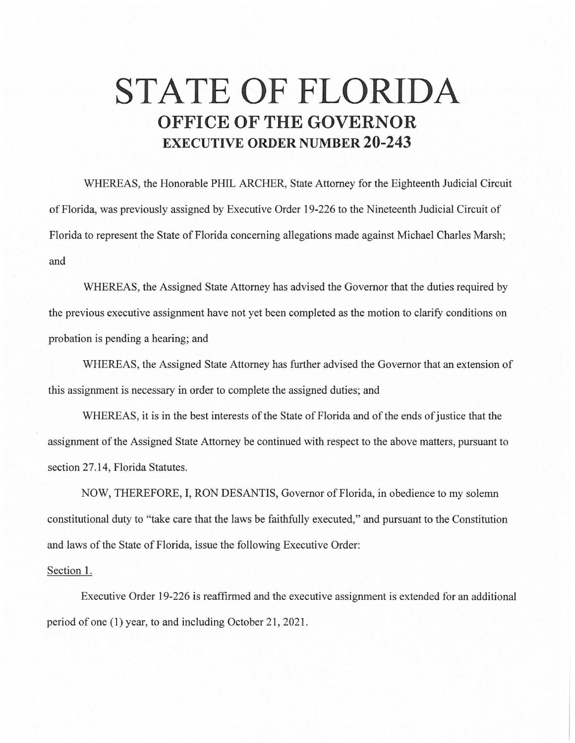## **STATE OF FLORIDA OFFICE OF THE GOVERNOR EXECUTIVE ORDER NUMBER 20-243**

WHEREAS, the Honorable PHIL ARCHER, State Attorney for the Eighteenth Judicial Circuit of Florida, was previously assigned by Executive Order 19-226 to the Nineteenth Judicial Circuit of Florida to represent the State of Florida concerning allegations made against Michael Charles Marsh; and

WHEREAS, the Assigned State Attorney has advised the Governor that the duties required by the previous executive assignment have not yet been completed as the motion to clarify conditions on probation is pending a hearing; and

WHEREAS, the Assigned State Attorney has further advised the Governor that an extension of this assignment is necessary in order to complete the assigned duties; and

WHEREAS, it is in the best interests of the State of Florida and of the ends of justice that the assignment of the Assigned State Attorney be continued with respect to the above matters, pursuant to section 27 .14, Florida Statutes.

NOW, THEREFORE, I, RON DESANTIS, Governor of Florida, in obedience to my solemn constitutional duty to "take care that the laws be faithfully executed," and pursuant to the Constitution and laws of the State of Florida, issue the following Executive Order:

## Section 1.

Executive Order 19-226 is reaffirmed and the executive assignment is extended for an additional period of one (1) year, to and including October 21, 2021.